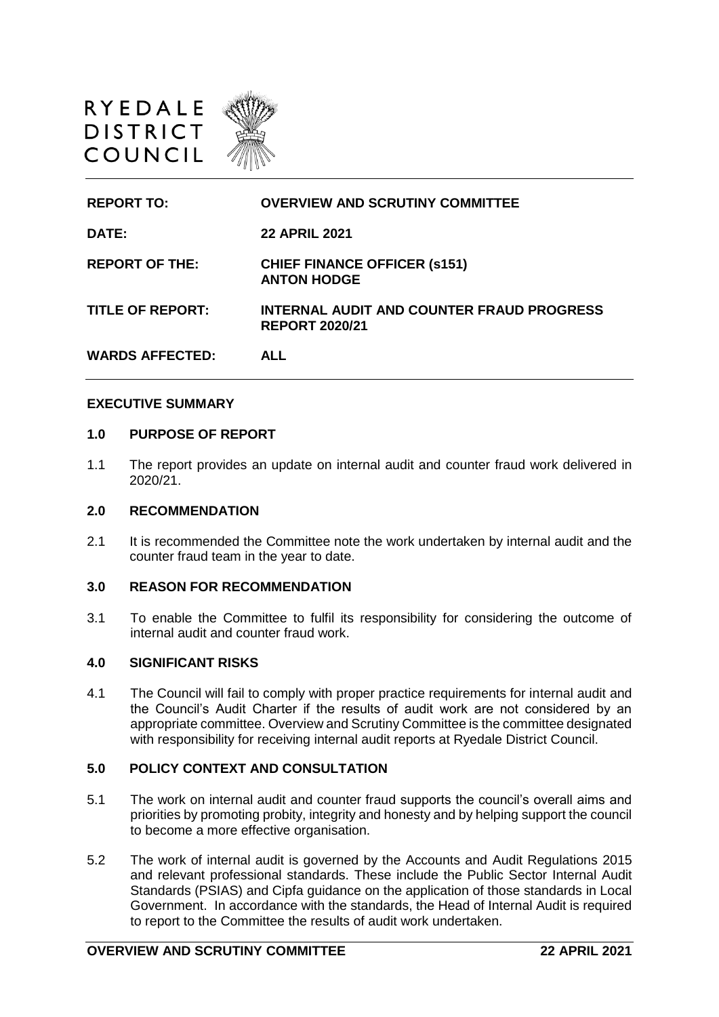

| <b>REPORT TO:</b>       | <b>OVERVIEW AND SCRUTINY COMMITTEE</b>                             |
|-------------------------|--------------------------------------------------------------------|
| <b>DATE:</b>            | <b>22 APRIL 2021</b>                                               |
| <b>REPORT OF THE:</b>   | <b>CHIEF FINANCE OFFICER (s151)</b><br><b>ANTON HODGE</b>          |
| <b>TITLE OF REPORT:</b> | INTERNAL AUDIT AND COUNTER FRAUD PROGRESS<br><b>REPORT 2020/21</b> |
| <b>WARDS AFFECTED:</b>  | AI I                                                               |

#### **EXECUTIVE SUMMARY**

#### **1.0 PURPOSE OF REPORT**

1.1 The report provides an update on internal audit and counter fraud work delivered in 2020/21.

### **2.0 RECOMMENDATION**

2.1 It is recommended the Committee note the work undertaken by internal audit and the counter fraud team in the year to date.

### **3.0 REASON FOR RECOMMENDATION**

3.1 To enable the Committee to fulfil its responsibility for considering the outcome of internal audit and counter fraud work.

### **4.0 SIGNIFICANT RISKS**

4.1 The Council will fail to comply with proper practice requirements for internal audit and the Council's Audit Charter if the results of audit work are not considered by an appropriate committee. Overview and Scrutiny Committee is the committee designated with responsibility for receiving internal audit reports at Ryedale District Council.

# **5.0 POLICY CONTEXT AND CONSULTATION**

- 5.1 The work on internal audit and counter fraud supports the council's overall aims and priorities by promoting probity, integrity and honesty and by helping support the council to become a more effective organisation.
- 5.2 The work of internal audit is governed by the Accounts and Audit Regulations 2015 and relevant professional standards. These include the Public Sector Internal Audit Standards (PSIAS) and Cipfa guidance on the application of those standards in Local Government. In accordance with the standards, the Head of Internal Audit is required to report to the Committee the results of audit work undertaken.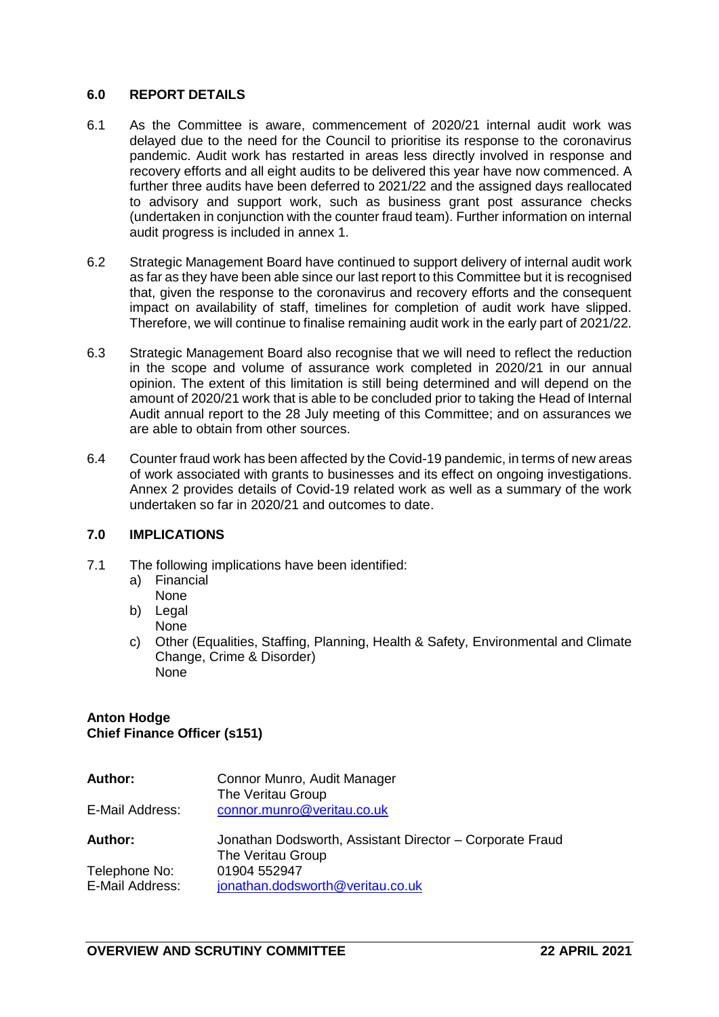# **6.0 REPORT DETAILS**

- 6.1 As the Committee is aware, commencement of 2020/21 internal audit work was delayed due to the need for the Council to prioritise its response to the coronavirus pandemic. Audit work has restarted in areas less directly involved in response and recovery efforts and all eight audits to be delivered this year have now commenced. A further three audits have been deferred to 2021/22 and the assigned days reallocated to advisory and support work, such as business grant post assurance checks (undertaken in conjunction with the counter fraud team). Further information on internal audit progress is included in annex 1.
- 6.2 Strategic Management Board have continued to support delivery of internal audit work as far as they have been able since our last report to this Committee but it is recognised that, given the response to the coronavirus and recovery efforts and the consequent impact on availability of staff, timelines for completion of audit work have slipped. Therefore, we will continue to finalise remaining audit work in the early part of 2021/22.
- 6.3 Strategic Management Board also recognise that we will need to reflect the reduction in the scope and volume of assurance work completed in 2020/21 in our annual opinion. The extent of this limitation is still being determined and will depend on the amount of 2020/21 work that is able to be concluded prior to taking the Head of Internal Audit annual report to the 28 July meeting of this Committee; and on assurances we are able to obtain from other sources.
- 6.4 Counter fraud work has been affected by the Covid-19 pandemic, in terms of new areas of work associated with grants to businesses and its effect on ongoing investigations. Annex 2 provides details of Covid-19 related work as well as a summary of the work undertaken so far in 2020/21 and outcomes to date.

### **7.0 IMPLICATIONS**

- 7.1 The following implications have been identified:
	- a) Financial None
	- b) Legal

None

c) Other (Equalities, Staffing, Planning, Health & Safety, Environmental and Climate Change, Crime & Disorder) None

### **Anton Hodge Chief Finance Officer (s151)**

| <b>Author:</b>                   | Connor Munro, Audit Manager<br>The Veritau Group                              |
|----------------------------------|-------------------------------------------------------------------------------|
| E-Mail Address:                  | connor.munro@veritau.co.uk                                                    |
| <b>Author:</b>                   | Jonathan Dodsworth, Assistant Director - Corporate Fraud<br>The Veritau Group |
| Telephone No:<br>E-Mail Address: | 01904 552947<br>jonathan.dodsworth@veritau.co.uk                              |